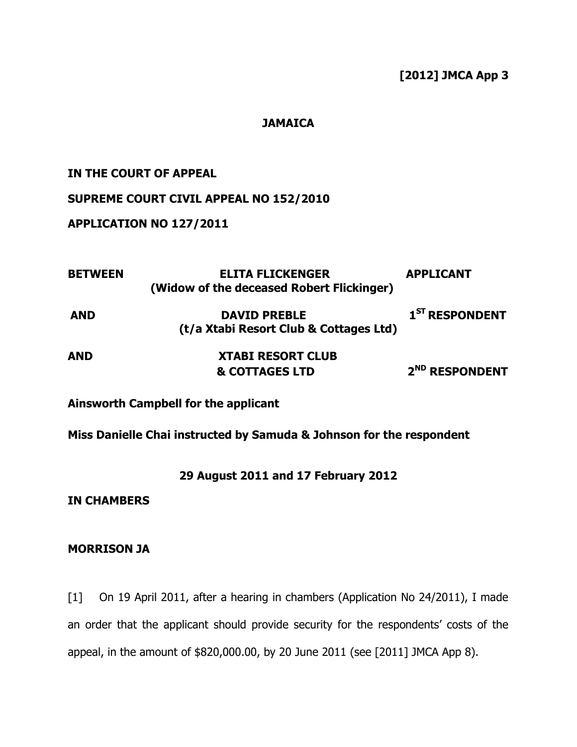## **[2012] JMCA App 3**

### **JAMAICA**

### **IN THE COURT OF APPEAL**

# **SUPREME COURT CIVIL APPEAL NO 152/2010**

### **APPLICATION NO 127/2011**

| <b>BETWEEN</b> | <b>ELITA FLICKENGER</b><br>(Widow of the deceased Robert Flickinger) | <b>APPLICANT</b>           |
|----------------|----------------------------------------------------------------------|----------------------------|
| <b>AND</b>     | <b>DAVID PREBLE</b><br>(t/a Xtabi Resort Club & Cottages Ltd)        | 1 <sup>ST</sup> RESPONDENT |
| <b>AND</b>     | <b>XTABI RESORT CLUB</b><br><b>&amp; COTTAGES LTD</b>                | 2 <sup>ND</sup> RESPONDENT |

## **Ainsworth Campbell for the applicant**

# **Miss Danielle Chai instructed by Samuda & Johnson for the respondent**

### **29 August 2011 and 17 February 2012**

### **IN CHAMBERS**

#### **MORRISON JA**

[1] On 19 April 2011, after a hearing in chambers (Application No 24/2011), I made an order that the applicant should provide security for the respondents' costs of the appeal, in the amount of \$820,000.00, by 20 June 2011 (see [2011] JMCA App 8).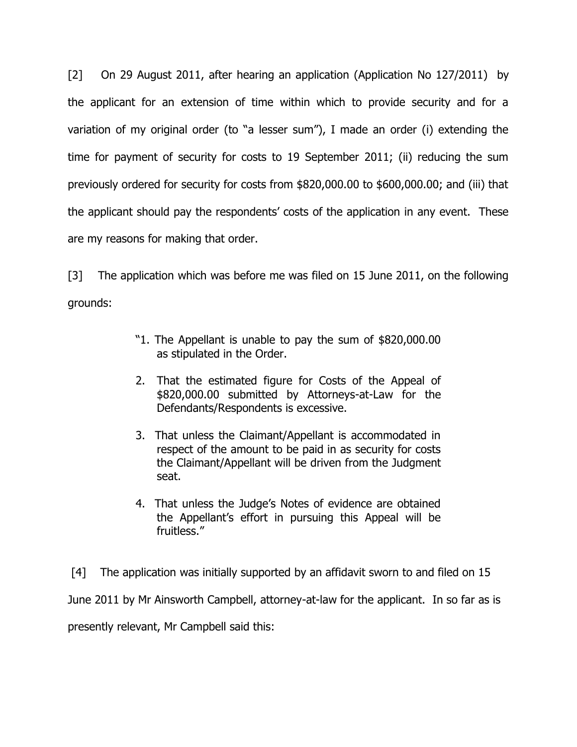[2] On 29 August 2011, after hearing an application (Application No 127/2011) by the applicant for an extension of time within which to provide security and for a variation of my original order (to "a lesser sum"), I made an order (i) extending the time for payment of security for costs to 19 September 2011; (ii) reducing the sum previously ordered for security for costs from \$820,000.00 to \$600,000.00; and (iii) that the applicant should pay the respondents' costs of the application in any event. These are my reasons for making that order.

[3] The application which was before me was filed on 15 June 2011, on the following grounds:

- "1. The Appellant is unable to pay the sum of \$820,000.00 as stipulated in the Order.
- 2. That the estimated figure for Costs of the Appeal of \$820,000.00 submitted by Attorneys-at-Law for the Defendants/Respondents is excessive.
- 3. That unless the Claimant/Appellant is accommodated in respect of the amount to be paid in as security for costs the Claimant/Appellant will be driven from the Judgment seat.
- 4. That unless the Judge"s Notes of evidence are obtained the Appellant"s effort in pursuing this Appeal will be fruitless."

[4] The application was initially supported by an affidavit sworn to and filed on 15 June 2011 by Mr Ainsworth Campbell, attorney-at-law for the applicant. In so far as is presently relevant, Mr Campbell said this: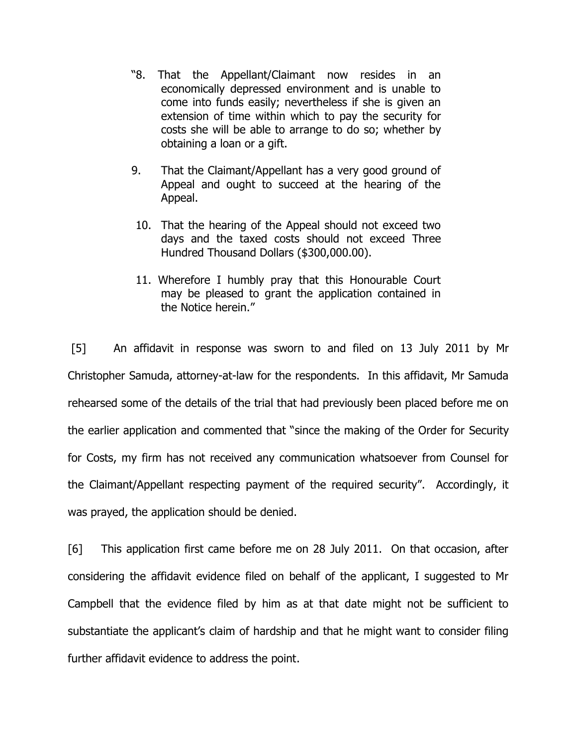- "8. That the Appellant/Claimant now resides in an economically depressed environment and is unable to come into funds easily; nevertheless if she is given an extension of time within which to pay the security for costs she will be able to arrange to do so; whether by obtaining a loan or a gift.
- 9. That the Claimant/Appellant has a very good ground of Appeal and ought to succeed at the hearing of the Appeal.
- 10. That the hearing of the Appeal should not exceed two days and the taxed costs should not exceed Three Hundred Thousand Dollars (\$300,000.00).
- 11. Wherefore I humbly pray that this Honourable Court may be pleased to grant the application contained in the Notice herein."

[5] An affidavit in response was sworn to and filed on 13 July 2011 by Mr Christopher Samuda, attorney-at-law for the respondents. In this affidavit, Mr Samuda rehearsed some of the details of the trial that had previously been placed before me on the earlier application and commented that "since the making of the Order for Security for Costs, my firm has not received any communication whatsoever from Counsel for the Claimant/Appellant respecting payment of the required security". Accordingly, it was prayed, the application should be denied.

[6] This application first came before me on 28 July 2011. On that occasion, after considering the affidavit evidence filed on behalf of the applicant, I suggested to Mr Campbell that the evidence filed by him as at that date might not be sufficient to substantiate the applicant's claim of hardship and that he might want to consider filing further affidavit evidence to address the point.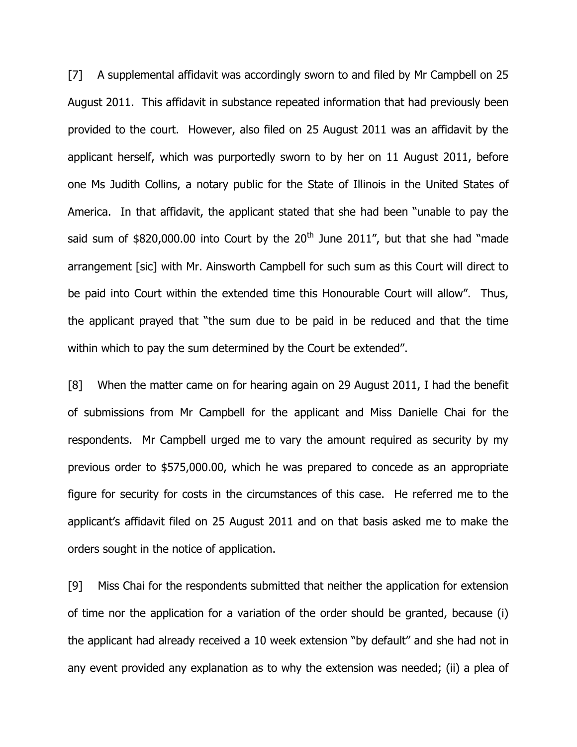[7] A supplemental affidavit was accordingly sworn to and filed by Mr Campbell on 25 August 2011. This affidavit in substance repeated information that had previously been provided to the court. However, also filed on 25 August 2011 was an affidavit by the applicant herself, which was purportedly sworn to by her on 11 August 2011, before one Ms Judith Collins, a notary public for the State of Illinois in the United States of America. In that affidavit, the applicant stated that she had been "unable to pay the said sum of  $$820,000.00$  into Court by the  $20<sup>th</sup>$  June 2011", but that she had "made arrangement [sic] with Mr. Ainsworth Campbell for such sum as this Court will direct to be paid into Court within the extended time this Honourable Court will allow". Thus, the applicant prayed that "the sum due to be paid in be reduced and that the time within which to pay the sum determined by the Court be extended".

[8] When the matter came on for hearing again on 29 August 2011, I had the benefit of submissions from Mr Campbell for the applicant and Miss Danielle Chai for the respondents. Mr Campbell urged me to vary the amount required as security by my previous order to \$575,000.00, which he was prepared to concede as an appropriate figure for security for costs in the circumstances of this case. He referred me to the applicant"s affidavit filed on 25 August 2011 and on that basis asked me to make the orders sought in the notice of application.

[9] Miss Chai for the respondents submitted that neither the application for extension of time nor the application for a variation of the order should be granted, because (i) the applicant had already received a 10 week extension "by default" and she had not in any event provided any explanation as to why the extension was needed; (ii) a plea of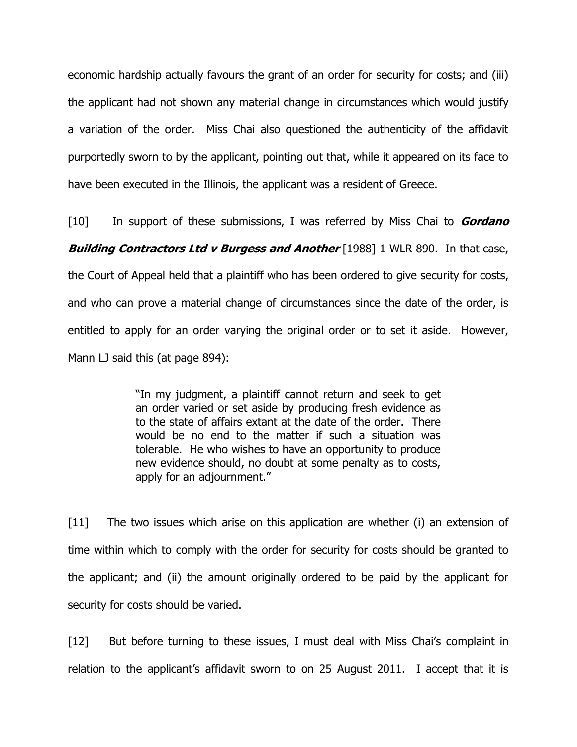economic hardship actually favours the grant of an order for security for costs; and (iii) the applicant had not shown any material change in circumstances which would justify a variation of the order. Miss Chai also questioned the authenticity of the affidavit purportedly sworn to by the applicant, pointing out that, while it appeared on its face to have been executed in the Illinois, the applicant was a resident of Greece.

[10] In support of these submissions, I was referred by Miss Chai to **Gordano Building Contractors Ltd v Burgess and Another** [1988] 1 WLR 890. In that case, the Court of Appeal held that a plaintiff who has been ordered to give security for costs, and who can prove a material change of circumstances since the date of the order, is entitled to apply for an order varying the original order or to set it aside. However,

Mann LJ said this (at page 894):

"In my judgment, a plaintiff cannot return and seek to get an order varied or set aside by producing fresh evidence as to the state of affairs extant at the date of the order. There would be no end to the matter if such a situation was tolerable. He who wishes to have an opportunity to produce new evidence should, no doubt at some penalty as to costs, apply for an adjournment."

[11] The two issues which arise on this application are whether (i) an extension of time within which to comply with the order for security for costs should be granted to the applicant; and (ii) the amount originally ordered to be paid by the applicant for security for costs should be varied.

[12] But before turning to these issues, I must deal with Miss Chai's complaint in relation to the applicant's affidavit sworn to on 25 August 2011. I accept that it is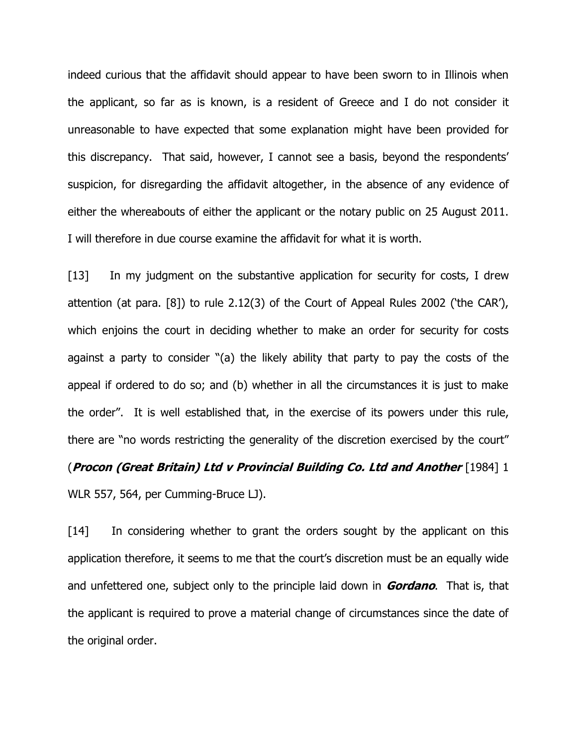indeed curious that the affidavit should appear to have been sworn to in Illinois when the applicant, so far as is known, is a resident of Greece and I do not consider it unreasonable to have expected that some explanation might have been provided for this discrepancy. That said, however, I cannot see a basis, beyond the respondents" suspicion, for disregarding the affidavit altogether, in the absence of any evidence of either the whereabouts of either the applicant or the notary public on 25 August 2011. I will therefore in due course examine the affidavit for what it is worth.

[13] In my judgment on the substantive application for security for costs, I drew attention (at para. [8]) to rule 2.12(3) of the Court of Appeal Rules 2002 ("the CAR"), which enjoins the court in deciding whether to make an order for security for costs against a party to consider "(a) the likely ability that party to pay the costs of the appeal if ordered to do so; and (b) whether in all the circumstances it is just to make the order". It is well established that, in the exercise of its powers under this rule, there are "no words restricting the generality of the discretion exercised by the court" (**Procon (Great Britain) Ltd v Provincial Building Co. Ltd and Another** [1984] 1 WLR 557, 564, per Cumming-Bruce LJ).

[14] In considering whether to grant the orders sought by the applicant on this application therefore, it seems to me that the court"s discretion must be an equally wide and unfettered one, subject only to the principle laid down in **Gordano**. That is, that the applicant is required to prove a material change of circumstances since the date of the original order.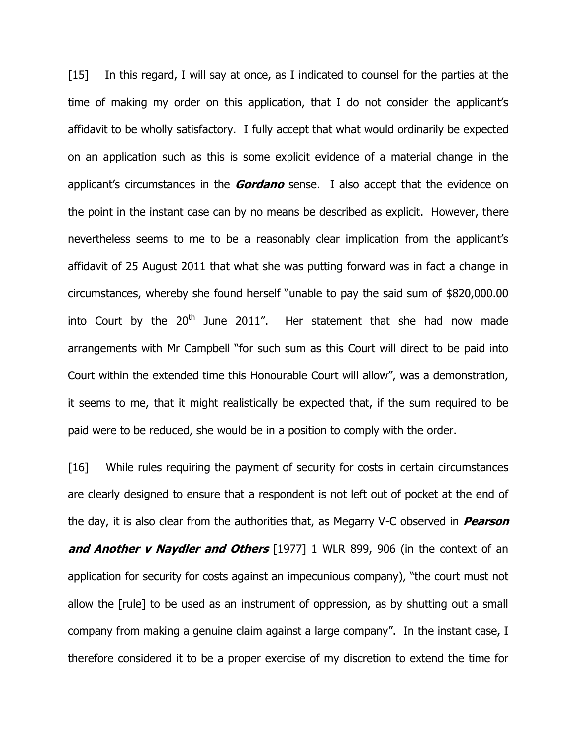[15] In this regard, I will say at once, as I indicated to counsel for the parties at the time of making my order on this application, that I do not consider the applicant"s affidavit to be wholly satisfactory. I fully accept that what would ordinarily be expected on an application such as this is some explicit evidence of a material change in the applicant"s circumstances in the **Gordano** sense. I also accept that the evidence on the point in the instant case can by no means be described as explicit. However, there nevertheless seems to me to be a reasonably clear implication from the applicant"s affidavit of 25 August 2011 that what she was putting forward was in fact a change in circumstances, whereby she found herself "unable to pay the said sum of \$820,000.00 into Court by the  $20<sup>th</sup>$  June 2011". Her statement that she had now made arrangements with Mr Campbell "for such sum as this Court will direct to be paid into Court within the extended time this Honourable Court will allow", was a demonstration, it seems to me, that it might realistically be expected that, if the sum required to be paid were to be reduced, she would be in a position to comply with the order.

[16] While rules requiring the payment of security for costs in certain circumstances are clearly designed to ensure that a respondent is not left out of pocket at the end of the day, it is also clear from the authorities that, as Megarry V-C observed in **Pearson and Another v Naydler and Others** [1977] 1 WLR 899, 906 (in the context of an application for security for costs against an impecunious company), "the court must not allow the [rule] to be used as an instrument of oppression, as by shutting out a small company from making a genuine claim against a large company". In the instant case, I therefore considered it to be a proper exercise of my discretion to extend the time for